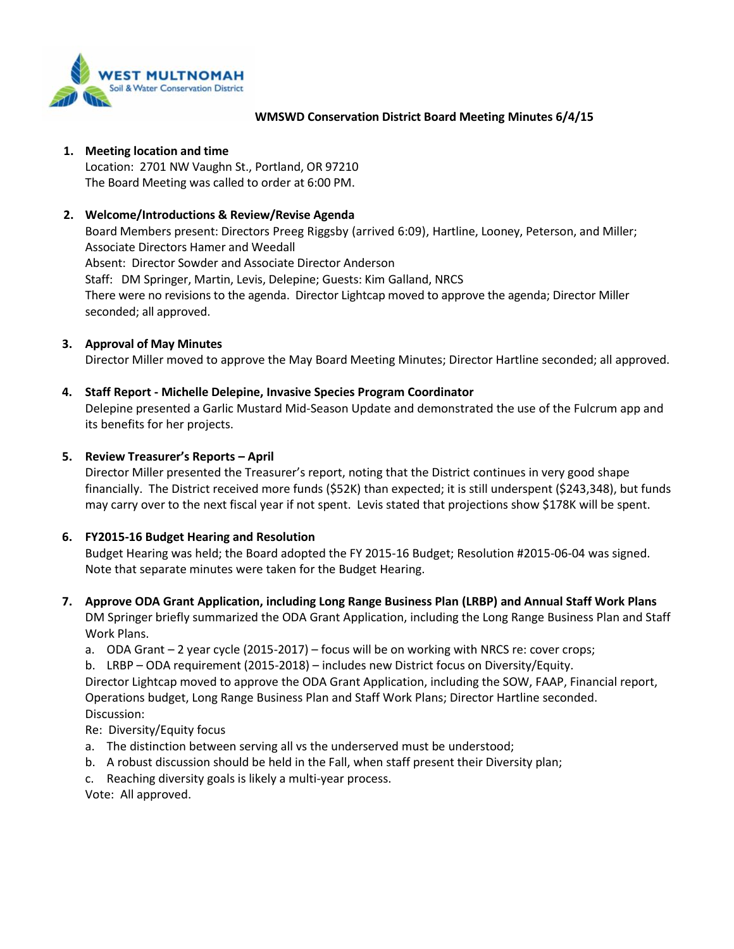

#### **WMSWD Conservation District Board Meeting Minutes 6/4/15**

#### **1. Meeting location and time**

Location: 2701 NW Vaughn St., Portland, OR 97210 The Board Meeting was called to order at 6:00 PM.

## **2. Welcome/Introductions & Review/Revise Agenda**

Board Members present: Directors Preeg Riggsby (arrived 6:09), Hartline, Looney, Peterson, and Miller; Associate Directors Hamer and Weedall Absent: Director Sowder and Associate Director Anderson Staff: DM Springer, Martin, Levis, Delepine; Guests: Kim Galland, NRCS There were no revisions to the agenda. Director Lightcap moved to approve the agenda; Director Miller seconded; all approved.

## **3. Approval of May Minutes**

Director Miller moved to approve the May Board Meeting Minutes; Director Hartline seconded; all approved.

## **4. Staff Report - Michelle Delepine, Invasive Species Program Coordinator**

Delepine presented a Garlic Mustard Mid-Season Update and demonstrated the use of the Fulcrum app and its benefits for her projects.

### **5. Review Treasurer's Reports – April**

Director Miller presented the Treasurer's report, noting that the District continues in very good shape financially. The District received more funds (\$52K) than expected; it is still underspent (\$243,348), but funds may carry over to the next fiscal year if not spent. Levis stated that projections show \$178K will be spent.

### **6. FY2015-16 Budget Hearing and Resolution**

Budget Hearing was held; the Board adopted the FY 2015-16 Budget; Resolution #2015-06-04 was signed. Note that separate minutes were taken for the Budget Hearing.

**7. Approve ODA Grant Application, including Long Range Business Plan (LRBP) and Annual Staff Work Plans** DM Springer briefly summarized the ODA Grant Application, including the Long Range Business Plan and Staff Work Plans.

a. ODA Grant – 2 year cycle (2015-2017) – focus will be on working with NRCS re: cover crops;

b. LRBP – ODA requirement (2015-2018) – includes new District focus on Diversity/Equity.

Director Lightcap moved to approve the ODA Grant Application, including the SOW, FAAP, Financial report, Operations budget, Long Range Business Plan and Staff Work Plans; Director Hartline seconded. Discussion:

### Re: Diversity/Equity focus

- a. The distinction between serving all vs the underserved must be understood;
- b. A robust discussion should be held in the Fall, when staff present their Diversity plan;
- c. Reaching diversity goals is likely a multi-year process.
- Vote: All approved.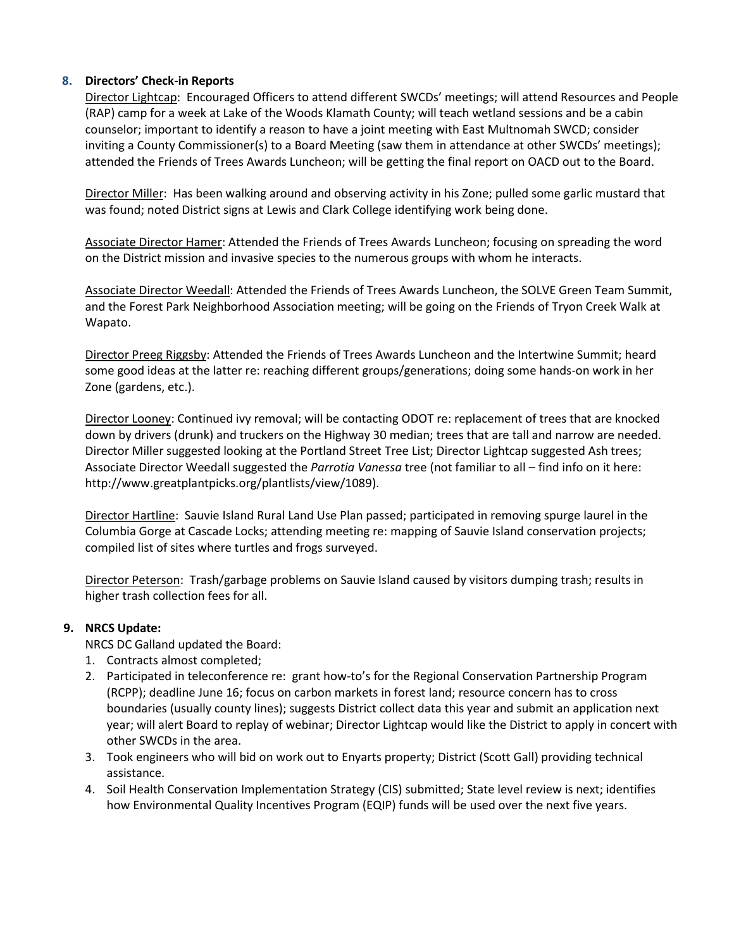## **8. Directors' Check-in Reports**

Director Lightcap: Encouraged Officers to attend different SWCDs' meetings; will attend Resources and People (RAP) camp for a week at Lake of the Woods Klamath County; will teach wetland sessions and be a cabin counselor; important to identify a reason to have a joint meeting with East Multnomah SWCD; consider inviting a County Commissioner(s) to a Board Meeting (saw them in attendance at other SWCDs' meetings); attended the Friends of Trees Awards Luncheon; will be getting the final report on OACD out to the Board.

Director Miller: Has been walking around and observing activity in his Zone; pulled some garlic mustard that was found; noted District signs at Lewis and Clark College identifying work being done.

Associate Director Hamer: Attended the Friends of Trees Awards Luncheon; focusing on spreading the word on the District mission and invasive species to the numerous groups with whom he interacts.

Associate Director Weedall: Attended the Friends of Trees Awards Luncheon, the SOLVE Green Team Summit, and the Forest Park Neighborhood Association meeting; will be going on the Friends of Tryon Creek Walk at Wapato.

Director Preeg Riggsby: Attended the Friends of Trees Awards Luncheon and the Intertwine Summit; heard some good ideas at the latter re: reaching different groups/generations; doing some hands-on work in her Zone (gardens, etc.).

Director Looney: Continued ivy removal; will be contacting ODOT re: replacement of trees that are knocked down by drivers (drunk) and truckers on the Highway 30 median; trees that are tall and narrow are needed. Director Miller suggested looking at the Portland Street Tree List; Director Lightcap suggested Ash trees; Associate Director Weedall suggested the *Parrotia Vanessa* tree (not familiar to all – find info on it here: http://www.greatplantpicks.org/plantlists/view/1089).

Director Hartline: Sauvie Island Rural Land Use Plan passed; participated in removing spurge laurel in the Columbia Gorge at Cascade Locks; attending meeting re: mapping of Sauvie Island conservation projects; compiled list of sites where turtles and frogs surveyed.

Director Peterson: Trash/garbage problems on Sauvie Island caused by visitors dumping trash; results in higher trash collection fees for all.

# **9. NRCS Update:**

NRCS DC Galland updated the Board:

- 1. Contracts almost completed;
- 2. Participated in teleconference re: grant how-to's for the Regional Conservation Partnership Program (RCPP); deadline June 16; focus on carbon markets in forest land; resource concern has to cross boundaries (usually county lines); suggests District collect data this year and submit an application next year; will alert Board to replay of webinar; Director Lightcap would like the District to apply in concert with other SWCDs in the area.
- 3. Took engineers who will bid on work out to Enyarts property; District (Scott Gall) providing technical assistance.
- 4. Soil Health Conservation Implementation Strategy (CIS) submitted; State level review is next; identifies how Environmental Quality Incentives Program (EQIP) funds will be used over the next five years.